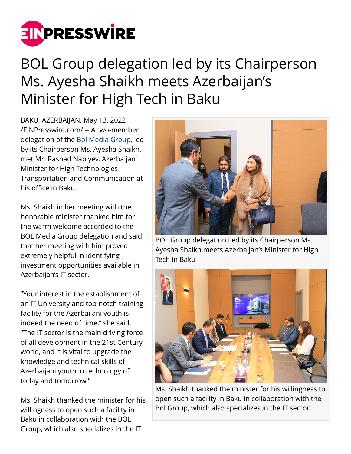

## BOL Group delegation led by its Chairperson Ms. Ayesha Shaikh meets Azerbaijan's Minister for High Tech in Baku

BAKU, AZERBAIJAN, May 13, 2022 [/EINPresswire.com/](http://www.einpresswire.com) -- A two-member delegation of the [Bol Media Group](https://bolmediagroup.com/), led by its Chairperson Ms. Ayesha Shaikh, met Mr. Rashad Nabiyev, Azerbaijan' Minister for High Technologies-Transportation and Communication at his office in Baku.

Ms. Shaikh in her meeting with the honorable minister thanked him for the warm welcome accorded to the BOL Media Group delegation and said that her meeting with him proved extremely helpful in identifying investment opportunities available in Azerbaijan's IT sector.

"Your interest in the establishment of an IT University and top-notch training facility for the Azerbaijani youth is indeed the need of time," she said. "The IT sector is the main driving force of all development in the 21st Century world, and it is vital to upgrade the knowledge and technical skills of Azerbaijani youth in technology of today and tomorrow."

Ms. Shaikh thanked the minister for his willingness to open such a facility in Baku in collaboration with the BOL Group, which also specializes in the IT



BOL Group delegation Led by its Chairperson Ms. Ayesha Shaikh meets Azerbaijan's Minister for High Tech in Baku



Ms. Shaikh thanked the minister for his willingness to open such a facility in Baku in collaboration with the Bol Group, which also specializes in the IT sector